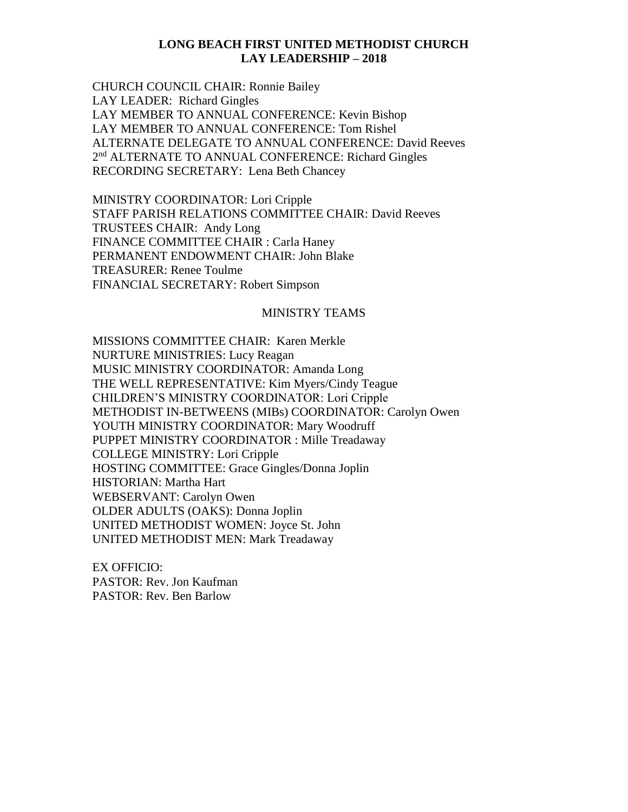## **LONG BEACH FIRST UNITED METHODIST CHURCH LAY LEADERSHIP – 2018**

CHURCH COUNCIL CHAIR: Ronnie Bailey LAY LEADER: Richard Gingles LAY MEMBER TO ANNUAL CONFERENCE: Kevin Bishop LAY MEMBER TO ANNUAL CONFERENCE: Tom Rishel ALTERNATE DELEGATE TO ANNUAL CONFERENCE: David Reeves 2<sup>nd</sup> ALTERNATE TO ANNUAL CONFERENCE: Richard Gingles RECORDING SECRETARY: Lena Beth Chancey

MINISTRY COORDINATOR: Lori Cripple STAFF PARISH RELATIONS COMMITTEE CHAIR: David Reeves TRUSTEES CHAIR: Andy Long FINANCE COMMITTEE CHAIR : Carla Haney PERMANENT ENDOWMENT CHAIR: John Blake TREASURER: Renee Toulme FINANCIAL SECRETARY: Robert Simpson

## MINISTRY TEAMS

MISSIONS COMMITTEE CHAIR: Karen Merkle NURTURE MINISTRIES: Lucy Reagan MUSIC MINISTRY COORDINATOR: Amanda Long THE WELL REPRESENTATIVE: Kim Myers/Cindy Teague CHILDREN'S MINISTRY COORDINATOR: Lori Cripple METHODIST IN-BETWEENS (MIBs) COORDINATOR: Carolyn Owen YOUTH MINISTRY COORDINATOR: Mary Woodruff PUPPET MINISTRY COORDINATOR : Mille Treadaway COLLEGE MINISTRY: Lori Cripple HOSTING COMMITTEE: Grace Gingles/Donna Joplin HISTORIAN: Martha Hart WEBSERVANT: Carolyn Owen OLDER ADULTS (OAKS): Donna Joplin UNITED METHODIST WOMEN: Joyce St. John UNITED METHODIST MEN: Mark Treadaway

EX OFFICIO: PASTOR: Rev. Jon Kaufman PASTOR: Rev. Ben Barlow